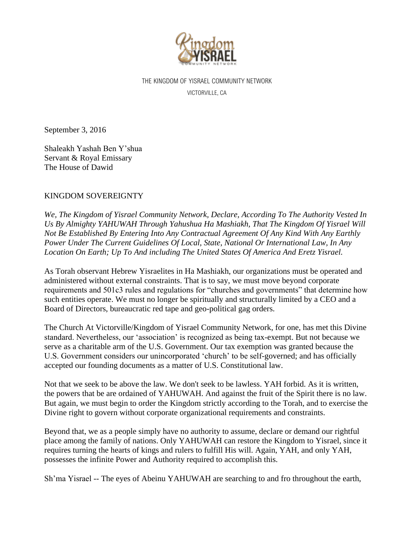

THE KINGDOM OF YISRAEL COMMUNITY NETWORK VICTORVILLE, CA

September 3, 2016

Shaleakh Yashah Ben Y'shua Servant & Royal Emissary The House of Dawid

## KINGDOM SOVEREIGNTY

*We, The Kingdom of Yisrael Community Network, Declare, According To The Authority Vested In Us By Almighty YAHUWAH Through Yahushua Ha Mashiakh, That The Kingdom Of Yisrael Will Not Be Established By Entering Into Any Contractual Agreement Of Any Kind With Any Earthly Power Under The Current Guidelines Of Local, State, National Or International Law, In Any Location On Earth; Up To And including The United States Of America And Eretz Yisrael.*

As Torah observant Hebrew Yisraelites in Ha Mashiakh, our organizations must be operated and administered without external constraints. That is to say, we must move beyond corporate requirements and 501c3 rules and regulations for "churches and governments" that determine how such entities operate. We must no longer be spiritually and structurally limited by a CEO and a Board of Directors, bureaucratic red tape and geo-political gag orders.

The Church At Victorville/Kingdom of Yisrael Community Network, for one, has met this Divine standard. Nevertheless, our 'association' is recognized as being tax-exempt. But not because we serve as a charitable arm of the U.S. Government. Our tax exemption was granted because the U.S. Government considers our unincorporated 'church' to be self-governed; and has officially accepted our founding documents as a matter of U.S. Constitutional law.

Not that we seek to be above the law. We don't seek to be lawless. YAH forbid. As it is written, the powers that be are ordained of YAHUWAH. And against the fruit of the Spirit there is no law. But again, we must begin to order the Kingdom strictly according to the Torah, and to exercise the Divine right to govern without corporate organizational requirements and constraints.

Beyond that, we as a people simply have no authority to assume, declare or demand our rightful place among the family of nations. Only YAHUWAH can restore the Kingdom to Yisrael, since it requires turning the hearts of kings and rulers to fulfill His will. Again, YAH, and only YAH, possesses the infinite Power and Authority required to accomplish this.

Sh'ma Yisrael -- The eyes of Abeinu YAHUWAH are searching to and fro throughout the earth,